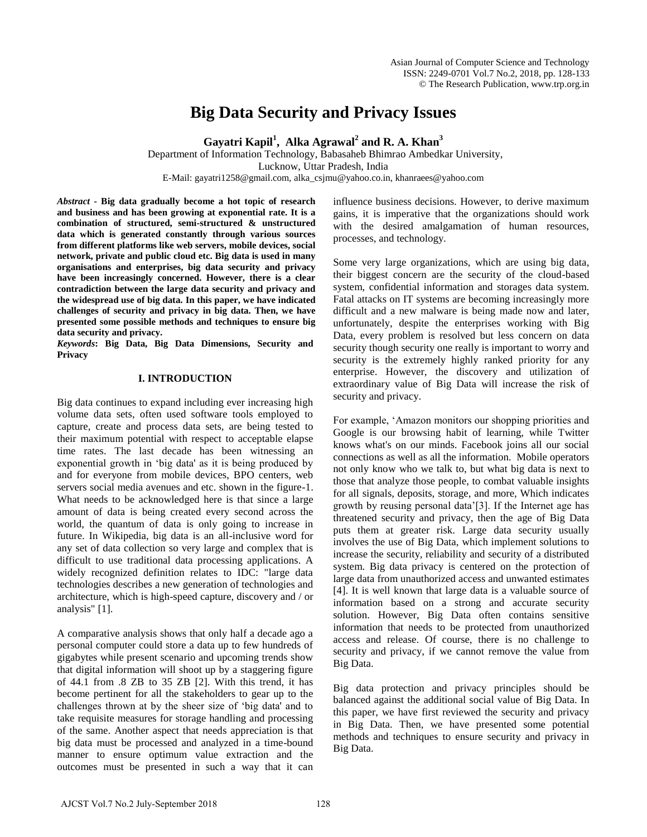# **Big Data Security and Privacy Issues**

**Gayatri Kapil<sup>1</sup> , Alka Agrawal<sup>2</sup> and R. A. Khan<sup>3</sup>**

Department of Information Technology, Babasaheb Bhimrao Ambedkar University, Lucknow, Uttar Pradesh, India E-Mail: gayatri1258@gmail.com, alka\_csjmu@yahoo.co.in, khanraees@yahoo.com

*Abstract* **- Big data gradually become a hot topic of research and business and has been growing at exponential rate. It is a combination of structured, semi-structured & unstructured data which is generated constantly through various sources from different platforms like web servers, mobile devices, social network, private and public cloud etc. Big data is used in many organisations and enterprises, big data security and privacy have been increasingly concerned. However, there is a clear contradiction between the large data security and privacy and the widespread use of big data. In this paper, we have indicated challenges of security and privacy in big data. Then, we have presented some possible methods and techniques to ensure big data security and privacy.**

*Keywords***: Big Data, Big Data Dimensions, Security and Privacy** 

# **I. INTRODUCTION**

Big data continues to expand including ever increasing high volume data sets, often used software tools employed to capture, create and process data sets, are being tested to their maximum potential with respect to acceptable elapse time rates. The last decade has been witnessing an exponential growth in "big data' as it is being produced by and for everyone from mobile devices, BPO centers, web servers social media avenues and etc. shown in the figure-1. What needs to be acknowledged here is that since a large amount of data is being created every second across the world, the quantum of data is only going to increase in future. In Wikipedia, big data is an all-inclusive word for any set of data collection so very large and complex that is difficult to use traditional data processing applications. A widely recognized definition relates to IDC: "large data technologies describes a new generation of technologies and architecture, which is high-speed capture, discovery and / or analysis" [1].

A comparative analysis shows that only half a decade ago a personal computer could store a data up to few hundreds of gigabytes while present scenario and upcoming trends show that digital information will shoot up by a staggering figure of 44.1 from .8 ZB to 35 ZB [2]. With this trend, it has become pertinent for all the stakeholders to gear up to the challenges thrown at by the sheer size of "big data' and to take requisite measures for storage handling and processing of the same. Another aspect that needs appreciation is that big data must be processed and analyzed in a time-bound manner to ensure optimum value extraction and the outcomes must be presented in such a way that it can influence business decisions. However, to derive maximum gains, it is imperative that the organizations should work with the desired amalgamation of human resources, processes, and technology.

Some very large organizations, which are using big data, their biggest concern are the security of the cloud-based system, confidential information and storages data system. Fatal attacks on IT systems are becoming increasingly more difficult and a new malware is being made now and later, unfortunately, despite the enterprises working with Big Data, every problem is resolved but less concern on data security though security one really is important to worry and security is the extremely highly ranked priority for any enterprise. However, the discovery and utilization of extraordinary value of Big Data will increase the risk of security and privacy.

For example, "Amazon monitors our shopping priorities and Google is our browsing habit of learning, while Twitter knows what's on our minds. Facebook joins all our social connections as well as all the information. Mobile operators not only know who we talk to, but what big data is next to those that analyze those people, to combat valuable insights for all signals, deposits, storage, and more, Which indicates growth by reusing personal data"[3]. If the Internet age has threatened security and privacy, then the age of Big Data puts them at greater risk. Large data security usually involves the use of Big Data, which implement solutions to increase the security, reliability and security of a distributed system. Big data privacy is centered on the protection of large data from unauthorized access and unwanted estimates [4]. It is well known that large data is a valuable source of information based on a strong and accurate security solution. However, Big Data often contains sensitive information that needs to be protected from unauthorized access and release. Of course, there is no challenge to security and privacy, if we cannot remove the value from Big Data.

Big data protection and privacy principles should be balanced against the additional social value of Big Data. In this paper, we have first reviewed the security and privacy in Big Data. Then, we have presented some potential methods and techniques to ensure security and privacy in Big Data.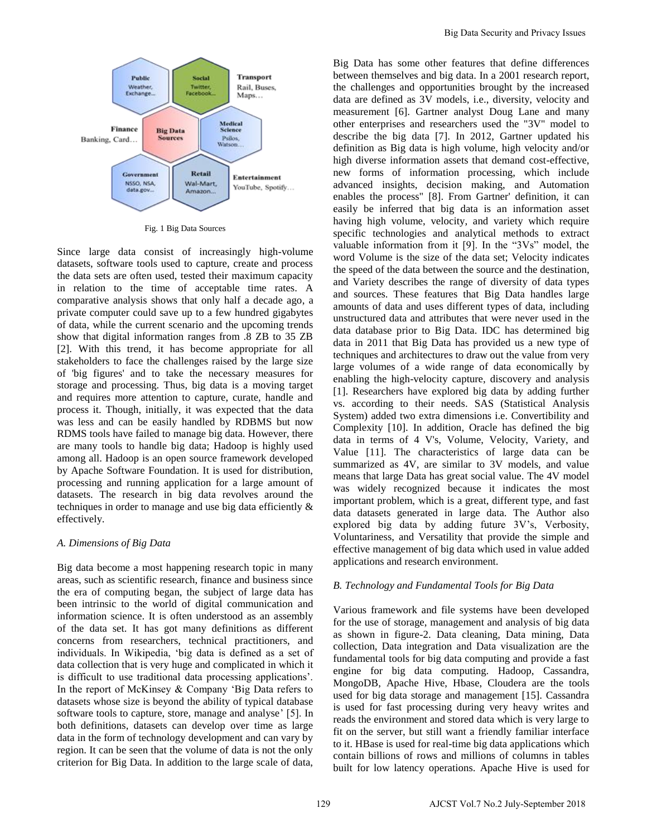

Fig. 1 Big Data Sources

Since large data consist of increasingly high-volume datasets, software tools used to capture, create and process the data sets are often used, tested their maximum capacity in relation to the time of acceptable time rates. A comparative analysis shows that only half a decade ago, a private computer could save up to a few hundred gigabytes of data, while the current scenario and the upcoming trends show that digital information ranges from .8 ZB to 35 ZB [2]. With this trend, it has become appropriate for all stakeholders to face the challenges raised by the large size of 'big figures' and to take the necessary measures for storage and processing. Thus, big data is a moving target and requires more attention to capture, curate, handle and process it. Though, initially, it was expected that the data was less and can be easily handled by RDBMS but now RDMS tools have failed to manage big data. However, there are many tools to handle big data; Hadoop is highly used among all. Hadoop is an open source framework developed by Apache Software Foundation. It is used for distribution, processing and running application for a large amount of datasets. The research in big data revolves around the techniques in order to manage and use big data efficiently & effectively.

#### *A. Dimensions of Big Data*

Big data become a most happening research topic in many areas, such as scientific research, finance and business since the era of computing began, the subject of large data has been intrinsic to the world of digital communication and information science. It is often understood as an assembly of the data set. It has got many definitions as different concerns from researchers, technical practitioners, and individuals. In Wikipedia, "big data is defined as a set of data collection that is very huge and complicated in which it is difficult to use traditional data processing applications". In the report of McKinsey & Company "Big Data refers to datasets whose size is beyond the ability of typical database software tools to capture, store, manage and analyse' [5]. In both definitions, datasets can develop over time as large data in the form of technology development and can vary by region. It can be seen that the volume of data is not the only criterion for Big Data. In addition to the large scale of data,

Big Data has some other features that define differences between themselves and big data. In a 2001 research report, the challenges and opportunities brought by the increased data are defined as 3V models, i.e., diversity, velocity and measurement [6]. Gartner analyst Doug Lane and many other enterprises and researchers used the "3V" model to describe the big data [7]. In 2012, Gartner updated his definition as Big data is high volume, high velocity and/or high diverse information assets that demand cost-effective, new forms of information processing, which include advanced insights, decision making, and Automation enables the process" [8]. From Gartner' definition, it can easily be inferred that big data is an information asset having high volume, velocity, and variety which require specific technologies and analytical methods to extract valuable information from it [9]. In the "3Vs" model, the word Volume is the size of the data set; Velocity indicates the speed of the data between the source and the destination, and Variety describes the range of diversity of data types and sources. These features that Big Data handles large amounts of data and uses different types of data, including unstructured data and attributes that were never used in the data database prior to Big Data. IDC has determined big data in 2011 that Big Data has provided us a new type of techniques and architectures to draw out the value from very large volumes of a wide range of data economically by enabling the high-velocity capture, discovery and analysis [1]. Researchers have explored big data by adding further vs. according to their needs. SAS (Statistical Analysis System) added two extra dimensions i.e. Convertibility and Complexity [10]. In addition, Oracle has defined the big data in terms of 4 V's, Volume, Velocity, Variety, and Value [11]. The characteristics of large data can be summarized as 4V, are similar to 3V models, and value means that large Data has great social value. The 4V model was widely recognized because it indicates the most important problem, which is a great, different type, and fast data datasets generated in large data. The Author also explored big data by adding future 3V's, Verbosity, Voluntariness, and Versatility that provide the simple and effective management of big data which used in value added applications and research environment. Big Data has some only that Security and Privacy Issues<br>between themselves and hig data. In a 2001 research reported<br>that at the challenges and opportunities browgly by the increase<br>data are defined as 3V models, i.e., di

#### *B. Technology and Fundamental Tools for Big Data*

Various framework and file systems have been developed for the use of storage, management and analysis of big data as shown in figure-2. Data cleaning, Data mining, Data collection, Data integration and Data visualization are the fundamental tools for big data computing and provide a fast engine for big data computing. Hadoop, Cassandra, MongoDB, Apache Hive, Hbase, Cloudera are the tools used for big data storage and management [15]. Cassandra is used for fast processing during very heavy writes and reads the environment and stored data which is very large to fit on the server, but still want a friendly familiar interface to it. HBase is used for real-time big data applications which contain billions of rows and millions of columns in tables built for low latency operations. Apache Hive is used for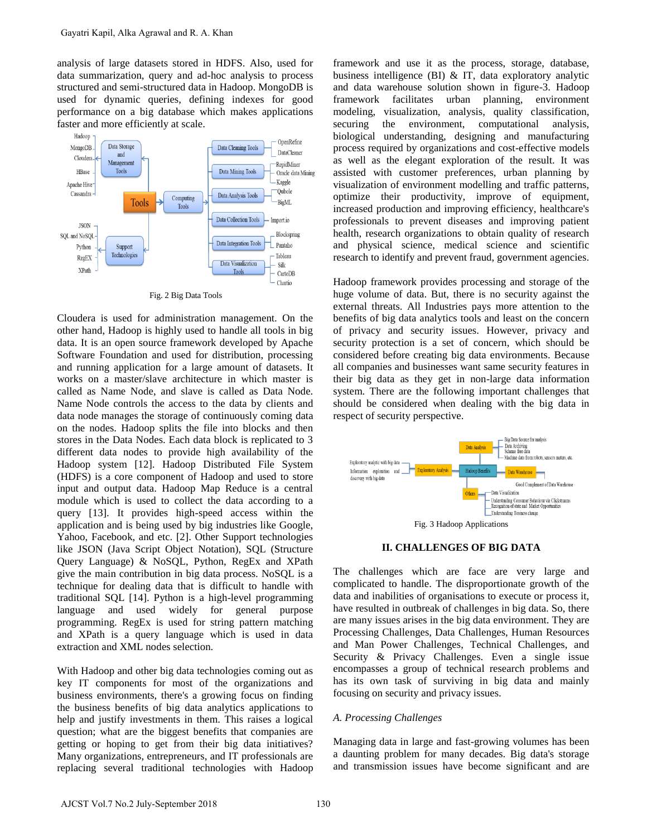analysis of large datasets stored in HDFS. Also, used for data summarization, query and ad-hoc analysis to process structured and semi-structured data in Hadoop. MongoDB is used for dynamic queries, defining indexes for good performance on a big database which makes applications faster and more efficiently at scale.



Fig. 2 Big Data Tools

Cloudera is used for administration management. On the other hand, Hadoop is highly used to handle all tools in big data. It is an open source framework developed by Apache Software Foundation and used for distribution, processing and running application for a large amount of datasets. It works on a master/slave architecture in which master is called as Name Node, and slave is called as Data Node. Name Node controls the access to the data by clients and data node manages the storage of continuously coming data on the nodes. Hadoop splits the file into blocks and then stores in the Data Nodes. Each data block is replicated to 3 different data nodes to provide high availability of the Hadoop system [12]. Hadoop Distributed File System (HDFS) is a core component of Hadoop and used to store input and output data. Hadoop Map Reduce is a central module which is used to collect the data according to a query [13]. It provides high-speed access within the application and is being used by big industries like Google, Yahoo, Facebook, and etc. [2]. Other Support technologies like JSON (Java Script Object Notation), SQL (Structure Query Language) & NoSQL, Python, RegEx and XPath give the main contribution in big data process. NoSQL is a technique for dealing data that is difficult to handle with traditional SQL [14]. Python is a high-level programming language and used widely for general purpose programming. RegEx is used for string pattern matching and XPath is a query language which is used in data extraction and XML nodes selection. Gayatri Kapil, Alka Agrawal and R. A. Khan<br>
Industry of large datasets soned in HDSS. Also, used for<br>
Internet and semi-production (Figure 2018) and the carry and al-hoc amply is to process<br>
near the content of dentising

With Hadoop and other big data technologies coming out as key IT components for most of the organizations and business environments, there's a growing focus on finding the business benefits of big data analytics applications to help and justify investments in them. This raises a logical question; what are the biggest benefits that companies are getting or hoping to get from their big data initiatives? Many organizations, entrepreneurs, and IT professionals are replacing several traditional technologies with Hadoop framework and use it as the process, storage, database, business intelligence (BI) & IT, data exploratory analytic and data warehouse solution shown in figure-3. Hadoop framework facilitates urban planning, environment modeling, visualization, analysis, quality classification, securing the environment, computational analysis, biological understanding, designing and manufacturing process required by organizations and cost-effective models as well as the elegant exploration of the result. It was assisted with customer preferences, urban planning by visualization of environment modelling and traffic patterns, optimize their productivity, improve of equipment, increased production and improving efficiency, healthcare's professionals to prevent diseases and improving patient health, research organizations to obtain quality of research and physical science, medical science and scientific research to identify and prevent fraud, government agencies.

Hadoop framework provides processing and storage of the huge volume of data. But, there is no security against the external threats. All Industries pays more attention to the benefits of big data analytics tools and least on the concern of privacy and security issues. However, privacy and security protection is a set of concern, which should be considered before creating big data environments. Because all companies and businesses want same security features in their big data as they get in non-large data information system. There are the following important challenges that should be considered when dealing with the big data in respect of security perspective.



#### **II. CHALLENGES OF BIG DATA**

The challenges which are face are very large and complicated to handle. The disproportionate growth of the data and inabilities of organisations to execute or process it, have resulted in outbreak of challenges in big data. So, there are many issues arises in the big data environment. They are Processing Challenges, Data Challenges, Human Resources and Man Power Challenges, Technical Challenges, and Security & Privacy Challenges. Even a single issue encompasses a group of technical research problems and has its own task of surviving in big data and mainly focusing on security and privacy issues.

#### *A. Processing Challenges*

Managing data in large and fast-growing volumes has been a daunting problem for many decades. Big data's storage and transmission issues have become significant and are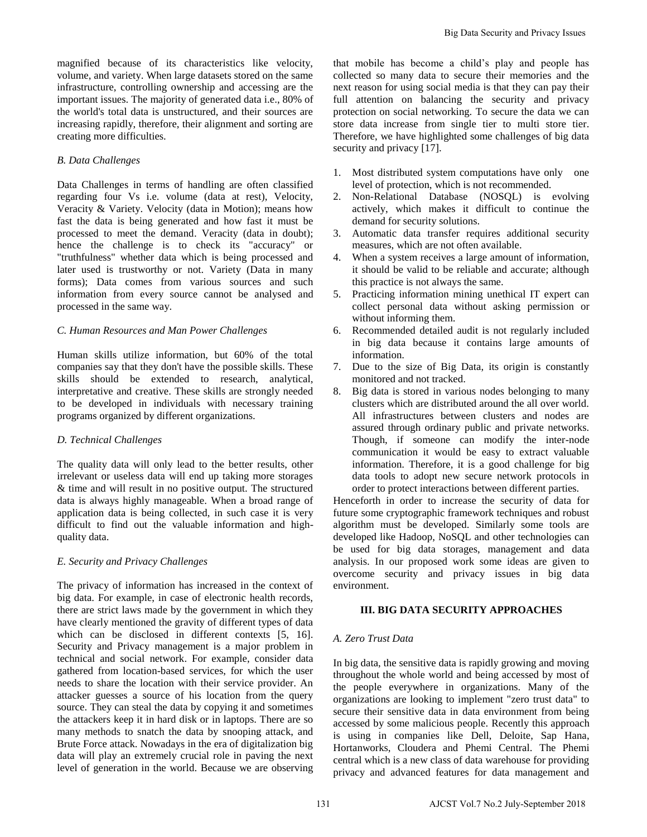magnified because of its characteristics like velocity, volume, and variety. When large datasets stored on the same infrastructure, controlling ownership and accessing are the important issues. The majority of generated data i.e., 80% of the world's total data is unstructured, and their sources are increasing rapidly, therefore, their alignment and sorting are creating more difficulties.

### *B. Data Challenges*

Data Challenges in terms of handling are often classified regarding four Vs i.e. volume (data at rest), Velocity, Veracity & Variety. Velocity (data in Motion); means how fast the data is being generated and how fast it must be processed to meet the demand. Veracity (data in doubt); hence the challenge is to check its "accuracy" or "truthfulness" whether data which is being processed and later used is trustworthy or not. Variety (Data in many forms); Data comes from various sources and such information from every source cannot be analysed and processed in the same way.

# *C. Human Resources and Man Power Challenges*

Human skills utilize information, but 60% of the total companies say that they don't have the possible skills. These skills should be extended to research, analytical, interpretative and creative. These skills are strongly needed to be developed in individuals with necessary training programs organized by different organizations.

# *D. Technical Challenges*

The quality data will only lead to the better results, other irrelevant or useless data will end up taking more storages & time and will result in no positive output. The structured data is always highly manageable. When a broad range of application data is being collected, in such case it is very difficult to find out the valuable information and highquality data.

# *E. Security and Privacy Challenges*

The privacy of information has increased in the context of big data. For example, in case of electronic health records, there are strict laws made by the government in which they have clearly mentioned the gravity of different types of data which can be disclosed in different contexts [5, 16]. Security and Privacy management is a major problem in technical and social network. For example, consider data gathered from location-based services, for which the user needs to share the location with their service provider. An attacker guesses a source of his location from the query source. They can steal the data by copying it and sometimes the attackers keep it in hard disk or in laptops. There are so many methods to snatch the data by snooping attack, and Brute Force attack. Nowadays in the era of digitalization big data will play an extremely crucial role in paving the next level of generation in the world. Because we are observing

that mobile has become a child"s play and people has collected so many data to secure their memories and the next reason for using social media is that they can pay their full attention on balancing the security and privacy protection on social networking. To secure the data we can store data increase from single tier to multi store tier. Therefore, we have highlighted some challenges of big data security and privacy [17].

- 1. Most distributed system computations have only one level of protection, which is not recommended.
- 2. Non-Relational Database (NOSQL) is evolving actively, which makes it difficult to continue the demand for security solutions.
- 3. Automatic data transfer requires additional security measures, which are not often available.
- 4. When a system receives a large amount of information, it should be valid to be reliable and accurate; although this practice is not always the same.
- 5. Practicing information mining unethical IT expert can collect personal data without asking permission or without informing them.
- 6. Recommended detailed audit is not regularly included in big data because it contains large amounts of information.
- 7. Due to the size of Big Data, its origin is constantly monitored and not tracked.
- 8. Big data is stored in various nodes belonging to many clusters which are distributed around the all over world. All infrastructures between clusters and nodes are assured through ordinary public and private networks. Though, if someone can modify the inter-node communication it would be easy to extract valuable information. Therefore, it is a good challenge for big data tools to adopt new secure network protocols in order to protect interactions between different parties.

Henceforth in order to increase the security of data for future some cryptographic framework techniques and robust algorithm must be developed. Similarly some tools are developed like Hadoop, NoSQL and other technologies can be used for big data storages, management and data analysis. In our proposed work some ideas are given to overcome security and privacy issues in big data environment.

# **III. BIG DATA SECURITY APPROACHES**

# *A. Zero Trust Data*

In big data, the sensitive data is rapidly growing and moving throughout the whole world and being accessed by most of the people everywhere in organizations. Many of the organizations are looking to implement "zero trust data" to secure their sensitive data in data environment from being accessed by some malicious people. Recently this approach is using in companies like Dell, Deloite, Sap Hana, Hortanworks, Cloudera and Phemi Central. The Phemi central which is a new class of data warehouse for providing privacy and advanced features for data management and Big Data Security and Privacy Issues<br>
collected so many data is phay and prople has been collected so many data to secure their menomics and the<br>next record results of the difference and the full antenion on balancing the